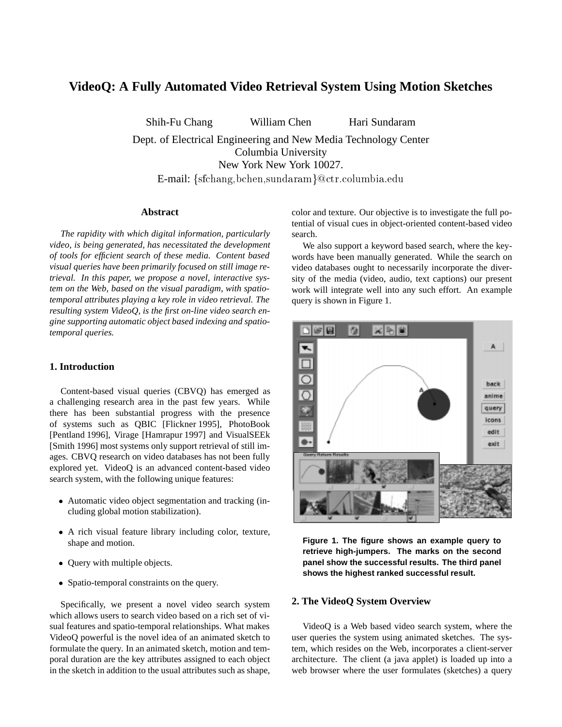# **VideoQ: A Fully Automated Video Retrieval System Using Motion Sketches**

Shih-Fu Chang William Chen Hari Sundaram

Dept. of Electrical Engineering and New Media Technology Center Columbia University New York New York 10027. E-mail:  $\{sfichang, bchen, sundaram\}$ @ctr.columbia.edu

#### **Abstract**

*The rapidity with which digital information, particularly video, is being generated, has necessitated the development of tools for efficient search of these media. Content based visual queries have been primarily focused on still image retrieval. In this paper, we propose a novel, interactive system on the Web, based on the visual paradigm, with spatiotemporal attributes playing a key role in video retrieval. The resulting system VideoQ, is the first on-line video search engine supporting automatic object based indexing and spatiotemporal queries.*

## **1. Introduction**

Content-based visual queries (CBVQ) has emerged as a challenging research area in the past few years. While there has been substantial progress with the presence of systems such as QBIC [Flickner 1995], PhotoBook [Pentland 1996], Virage [Hamrapur 1997] and VisualSEEk [Smith 1996] most systems only support retrieval of still images. CBVQ research on video databases has not been fully explored yet. VideoQ is an advanced content-based video search system, with the following unique features:

- Automatic video object segmentation and tracking (including global motion stabilization).
- A rich visual feature library including color, texture, shape and motion.
- Query with multiple objects.
- Spatio-temporal constraints on the query.

Specifically, we present a novel video search system which allows users to search video based on a rich set of visual features and spatio-temporal relationships. What makes VideoQ powerful is the novel idea of an animated sketch to formulate the query. In an animated sketch, motion and temporal duration are the key attributes assigned to each object in the sketch in addition to the usual attributes such as shape,

color and texture. Our objective is to investigate the full potential of visual cues in object-oriented content-based video search.

We also support a keyword based search, where the keywords have been manually generated. While the search on video databases ought to necessarily incorporate the diversity of the media (video, audio, text captions) our present work will integrate well into any such effort. An example query is shown in Figure 1.



**Figure 1. The figure shows an example query to retrieve high-jumpers. The marks on the second panel show the successful results. The third panel shows the highest ranked successful result.**

### **2. The VideoQ System Overview**

VideoQ is a Web based video search system, where the user queries the system using animated sketches. The system, which resides on the Web, incorporates a client-server architecture. The client (a java applet) is loaded up into a web browser where the user formulates (sketches) a query